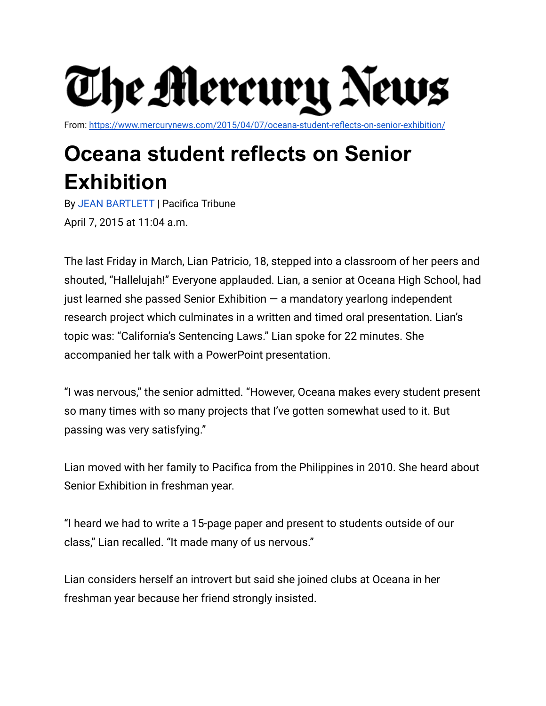

From: <https://www.mercurynews.com/2015/04/07/oceana-student-reflects-on-senior-exhibition/>

## **Oceana student reflects on Senior Exhibition**

By JEAN [BARTLETT](https://www.mercurynews.com/author/jean-bartlett/) | Pacifica Tribune April 7, 2015 at 11:04 a.m.

The last Friday in March, Lian Patricio, 18, stepped into a classroom of her peers and shouted, "Hallelujah!" Everyone applauded. Lian, a senior at Oceana High School, had just learned she passed Senior Exhibition  $-$  a mandatory yearlong independent research project which culminates in a written and timed oral presentation. Lian's topic was: "California's Sentencing Laws." Lian spoke for 22 minutes. She accompanied her talk with a PowerPoint presentation.

"I was nervous," the senior admitted. "However, Oceana makes every student present so many times with so many projects that I've gotten somewhat used to it. But passing was very satisfying."

Lian moved with her family to Pacifica from the Philippines in 2010. She heard about Senior Exhibition in freshman year.

"I heard we had to write a 15-page paper and present to students outside of our class," Lian recalled. "It made many of us nervous."

Lian considers herself an introvert but said she joined clubs at Oceana in her freshman year because her friend strongly insisted.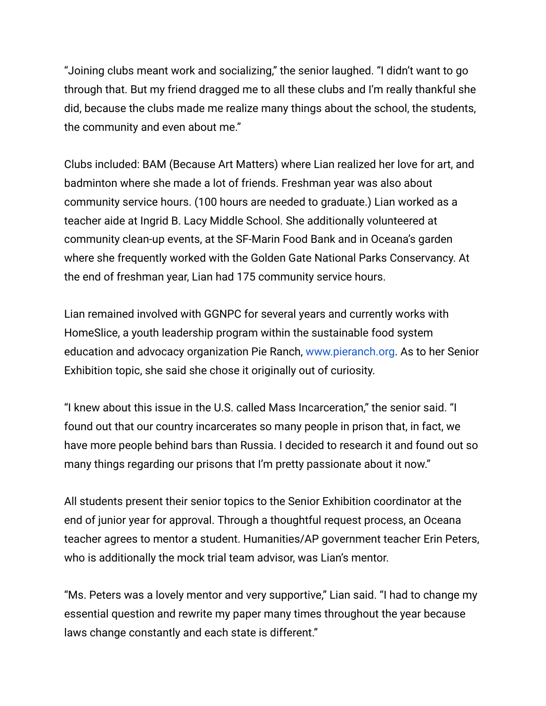"Joining clubs meant work and socializing," the senior laughed. "I didn't want to go through that. But my friend dragged me to all these clubs and I'm really thankful she did, because the clubs made me realize many things about the school, the students, the community and even about me."

Clubs included: BAM (Because Art Matters) where Lian realized her love for art, and badminton where she made a lot of friends. Freshman year was also about community service hours. (100 hours are needed to graduate.) Lian worked as a teacher aide at Ingrid B. Lacy Middle School. She additionally volunteered at community clean-up events, at the SF-Marin Food Bank and in Oceana's garden where she frequently worked with the Golden Gate National Parks Conservancy. At the end of freshman year, Lian had 175 community service hours.

Lian remained involved with GGNPC for several years and currently works with HomeSlice, a youth leadership program within the sustainable food system education and advocacy organization Pie Ranch, [www.pieranch.org.](http://www.pieranch.org/) As to her Senior Exhibition topic, she said she chose it originally out of curiosity.

"I knew about this issue in the U.S. called Mass Incarceration," the senior said. "I found out that our country incarcerates so many people in prison that, in fact, we have more people behind bars than Russia. I decided to research it and found out so many things regarding our prisons that I'm pretty passionate about it now."

All students present their senior topics to the Senior Exhibition coordinator at the end of junior year for approval. Through a thoughtful request process, an Oceana teacher agrees to mentor a student. Humanities/AP government teacher Erin Peters, who is additionally the mock trial team advisor, was Lian's mentor.

"Ms. Peters was a lovely mentor and very supportive," Lian said. "I had to change my essential question and rewrite my paper many times throughout the year because laws change constantly and each state is different."